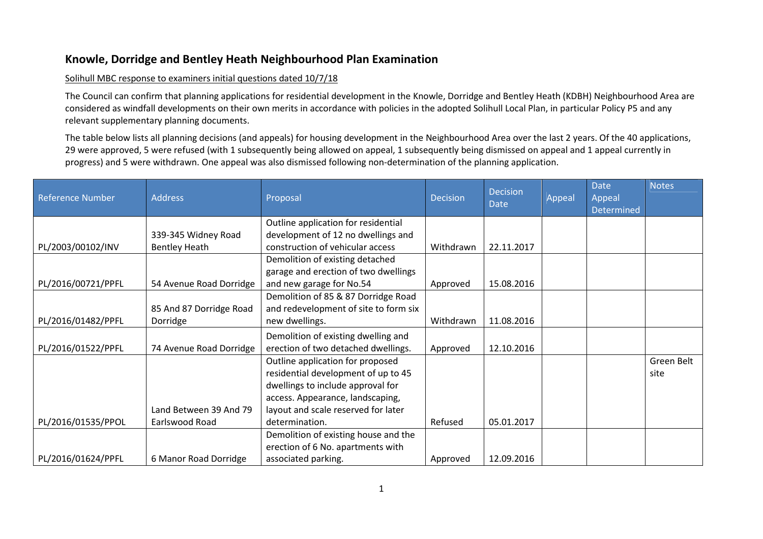## Knowle, Dorridge and Bentley Heath Neighbourhood Plan Examination

## Solihull MBC response to examiners initial questions dated 10/7/18

The Council can confirm that planning applications for residential development in the Knowle, Dorridge and Bentley Heath (KDBH) Neighbourhood Area are considered as windfall developments on their own merits in accordance with policies in the adopted Solihull Local Plan, in particular Policy P5 and any relevant supplementary planning documents.

The table below lists all planning decisions (and appeals) for housing development in the Neighbourhood Area over the last 2 years. Of the 40 applications, 29 were approved, 5 were refused (with 1 subsequently being allowed on appeal, 1 subsequently being dismissed on appeal and 1 appeal currently in progress) and 5 were withdrawn. One appeal was also dismissed following non-determination of the planning application.

| <b>Reference Number</b> | <b>Address</b>          | Proposal                              | <b>Decision</b> | <b>Decision</b><br>Date | Appeal | <b>Date</b><br>Appeal<br>Determined | <b>Notes</b> |
|-------------------------|-------------------------|---------------------------------------|-----------------|-------------------------|--------|-------------------------------------|--------------|
|                         |                         | Outline application for residential   |                 |                         |        |                                     |              |
|                         | 339-345 Widney Road     | development of 12 no dwellings and    |                 |                         |        |                                     |              |
| PL/2003/00102/INV       | <b>Bentley Heath</b>    | construction of vehicular access      | Withdrawn       | 22.11.2017              |        |                                     |              |
|                         |                         | Demolition of existing detached       |                 |                         |        |                                     |              |
|                         |                         | garage and erection of two dwellings  |                 |                         |        |                                     |              |
| PL/2016/00721/PPFL      | 54 Avenue Road Dorridge | and new garage for No.54              | Approved        | 15.08.2016              |        |                                     |              |
|                         |                         | Demolition of 85 & 87 Dorridge Road   |                 |                         |        |                                     |              |
|                         | 85 And 87 Dorridge Road | and redevelopment of site to form six |                 |                         |        |                                     |              |
| PL/2016/01482/PPFL      | Dorridge                | new dwellings.                        | Withdrawn       | 11.08.2016              |        |                                     |              |
|                         |                         | Demolition of existing dwelling and   |                 |                         |        |                                     |              |
| PL/2016/01522/PPFL      | 74 Avenue Road Dorridge | erection of two detached dwellings.   | Approved        | 12.10.2016              |        |                                     |              |
|                         |                         | Outline application for proposed      |                 |                         |        |                                     | Green Belt   |
|                         |                         | residential development of up to 45   |                 |                         |        |                                     | site         |
|                         |                         | dwellings to include approval for     |                 |                         |        |                                     |              |
|                         |                         | access. Appearance, landscaping,      |                 |                         |        |                                     |              |
|                         | Land Between 39 And 79  | layout and scale reserved for later   |                 |                         |        |                                     |              |
| PL/2016/01535/PPOL      | Earlswood Road          | determination.                        | Refused         | 05.01.2017              |        |                                     |              |
|                         |                         | Demolition of existing house and the  |                 |                         |        |                                     |              |
|                         |                         | erection of 6 No. apartments with     |                 |                         |        |                                     |              |
| PL/2016/01624/PPFL      | 6 Manor Road Dorridge   | associated parking.                   | Approved        | 12.09.2016              |        |                                     |              |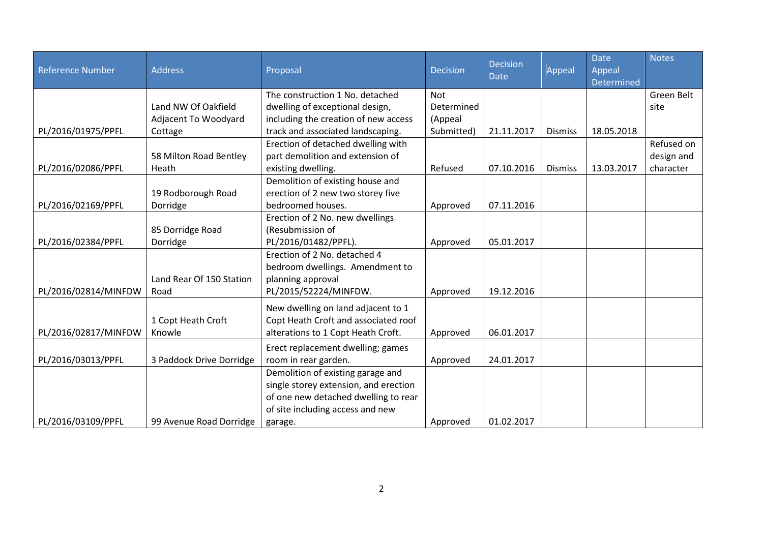| <b>Reference Number</b> | <b>Address</b>           | Proposal                              | <b>Decision</b> | <b>Decision</b><br><b>Date</b> | Appeal         | <b>Date</b><br>Appeal<br><b>Determined</b> | <b>Notes</b> |
|-------------------------|--------------------------|---------------------------------------|-----------------|--------------------------------|----------------|--------------------------------------------|--------------|
|                         |                          | The construction 1 No. detached       | <b>Not</b>      |                                |                |                                            | Green Belt   |
|                         | Land NW Of Oakfield      | dwelling of exceptional design,       | Determined      |                                |                |                                            | site         |
|                         | Adjacent To Woodyard     | including the creation of new access  | (Appeal         |                                |                |                                            |              |
| PL/2016/01975/PPFL      | Cottage                  | track and associated landscaping.     | Submitted)      | 21.11.2017                     | <b>Dismiss</b> | 18.05.2018                                 |              |
|                         |                          | Erection of detached dwelling with    |                 |                                |                |                                            | Refused on   |
|                         | 58 Milton Road Bentley   | part demolition and extension of      |                 |                                |                |                                            | design and   |
| PL/2016/02086/PPFL      | Heath                    | existing dwelling.                    | Refused         | 07.10.2016                     | <b>Dismiss</b> | 13.03.2017                                 | character    |
|                         |                          | Demolition of existing house and      |                 |                                |                |                                            |              |
|                         | 19 Rodborough Road       | erection of 2 new two storey five     |                 |                                |                |                                            |              |
| PL/2016/02169/PPFL      | Dorridge                 | bedroomed houses.                     | Approved        | 07.11.2016                     |                |                                            |              |
|                         |                          | Erection of 2 No. new dwellings       |                 |                                |                |                                            |              |
|                         | 85 Dorridge Road         | (Resubmission of                      |                 |                                |                |                                            |              |
| PL/2016/02384/PPFL      | Dorridge                 | PL/2016/01482/PPFL).                  | Approved        | 05.01.2017                     |                |                                            |              |
|                         |                          | Erection of 2 No. detached 4          |                 |                                |                |                                            |              |
|                         |                          | bedroom dwellings. Amendment to       |                 |                                |                |                                            |              |
|                         | Land Rear Of 150 Station | planning approval                     |                 |                                |                |                                            |              |
| PL/2016/02814/MINFDW    | Road                     | PL/2015/52224/MINFDW.                 | Approved        | 19.12.2016                     |                |                                            |              |
|                         |                          | New dwelling on land adjacent to 1    |                 |                                |                |                                            |              |
|                         | 1 Copt Heath Croft       | Copt Heath Croft and associated roof  |                 |                                |                |                                            |              |
| PL/2016/02817/MINFDW    | Knowle                   | alterations to 1 Copt Heath Croft.    | Approved        | 06.01.2017                     |                |                                            |              |
|                         |                          | Erect replacement dwelling; games     |                 |                                |                |                                            |              |
| PL/2016/03013/PPFL      | 3 Paddock Drive Dorridge | room in rear garden.                  | Approved        | 24.01.2017                     |                |                                            |              |
|                         |                          | Demolition of existing garage and     |                 |                                |                |                                            |              |
|                         |                          | single storey extension, and erection |                 |                                |                |                                            |              |
|                         |                          | of one new detached dwelling to rear  |                 |                                |                |                                            |              |
|                         |                          | of site including access and new      |                 |                                |                |                                            |              |
| PL/2016/03109/PPFL      | 99 Avenue Road Dorridge  | garage.                               | Approved        | 01.02.2017                     |                |                                            |              |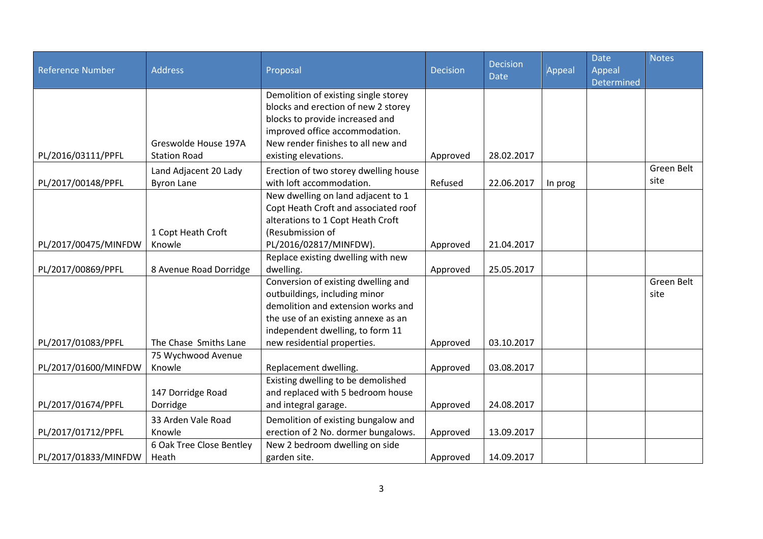| <b>Reference Number</b> | <b>Address</b>           | Proposal                              | <b>Decision</b> | <b>Decision</b><br><b>Date</b> | Appeal  | <b>Date</b><br>Appeal | <b>Notes</b> |
|-------------------------|--------------------------|---------------------------------------|-----------------|--------------------------------|---------|-----------------------|--------------|
|                         |                          | Demolition of existing single storey  |                 |                                |         | Determined            |              |
|                         |                          | blocks and erection of new 2 storey   |                 |                                |         |                       |              |
|                         |                          | blocks to provide increased and       |                 |                                |         |                       |              |
|                         |                          | improved office accommodation.        |                 |                                |         |                       |              |
|                         | Greswolde House 197A     | New render finishes to all new and    |                 |                                |         |                       |              |
| PL/2016/03111/PPFL      | <b>Station Road</b>      | existing elevations.                  | Approved        | 28.02.2017                     |         |                       |              |
|                         | Land Adjacent 20 Lady    | Erection of two storey dwelling house |                 |                                |         |                       | Green Belt   |
| PL/2017/00148/PPFL      | <b>Byron Lane</b>        | with loft accommodation.              | Refused         | 22.06.2017                     | In prog |                       | site         |
|                         |                          | New dwelling on land adjacent to 1    |                 |                                |         |                       |              |
|                         |                          | Copt Heath Croft and associated roof  |                 |                                |         |                       |              |
|                         |                          | alterations to 1 Copt Heath Croft     |                 |                                |         |                       |              |
|                         | 1 Copt Heath Croft       | (Resubmission of                      |                 |                                |         |                       |              |
| PL/2017/00475/MINFDW    | Knowle                   | PL/2016/02817/MINFDW).                | Approved        | 21.04.2017                     |         |                       |              |
|                         |                          | Replace existing dwelling with new    |                 |                                |         |                       |              |
| PL/2017/00869/PPFL      | 8 Avenue Road Dorridge   | dwelling.                             | Approved        | 25.05.2017                     |         |                       |              |
|                         |                          | Conversion of existing dwelling and   |                 |                                |         |                       | Green Belt   |
|                         |                          | outbuildings, including minor         |                 |                                |         |                       | site         |
|                         |                          | demolition and extension works and    |                 |                                |         |                       |              |
|                         |                          | the use of an existing annexe as an   |                 |                                |         |                       |              |
|                         |                          | independent dwelling, to form 11      |                 |                                |         |                       |              |
| PL/2017/01083/PPFL      | The Chase Smiths Lane    | new residential properties.           | Approved        | 03.10.2017                     |         |                       |              |
|                         | 75 Wychwood Avenue       |                                       |                 |                                |         |                       |              |
| PL/2017/01600/MINFDW    | Knowle                   | Replacement dwelling.                 | Approved        | 03.08.2017                     |         |                       |              |
|                         |                          | Existing dwelling to be demolished    |                 |                                |         |                       |              |
|                         | 147 Dorridge Road        | and replaced with 5 bedroom house     |                 |                                |         |                       |              |
| PL/2017/01674/PPFL      | Dorridge                 | and integral garage.                  | Approved        | 24.08.2017                     |         |                       |              |
|                         | 33 Arden Vale Road       | Demolition of existing bungalow and   |                 |                                |         |                       |              |
| PL/2017/01712/PPFL      | Knowle                   | erection of 2 No. dormer bungalows.   | Approved        | 13.09.2017                     |         |                       |              |
|                         | 6 Oak Tree Close Bentley | New 2 bedroom dwelling on side        |                 |                                |         |                       |              |
| PL/2017/01833/MINFDW    | Heath                    | garden site.                          | Approved        | 14.09.2017                     |         |                       |              |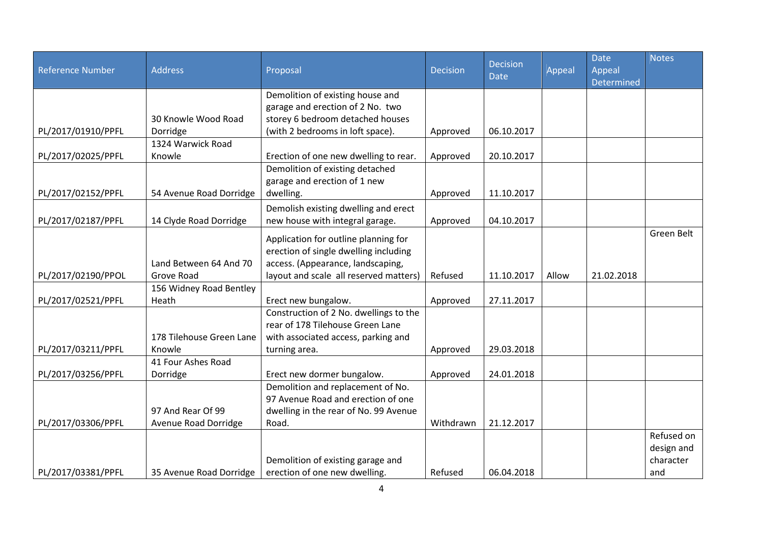|                    |                          |                                        |                 | <b>Decision</b> |        | <b>Date</b>          | <b>Notes</b> |
|--------------------|--------------------------|----------------------------------------|-----------------|-----------------|--------|----------------------|--------------|
| Reference Number   | <b>Address</b>           | Proposal                               | <b>Decision</b> | <b>Date</b>     | Appeal | Appeal<br>Determined |              |
|                    |                          | Demolition of existing house and       |                 |                 |        |                      |              |
|                    |                          | garage and erection of 2 No. two       |                 |                 |        |                      |              |
|                    | 30 Knowle Wood Road      | storey 6 bedroom detached houses       |                 |                 |        |                      |              |
| PL/2017/01910/PPFL | Dorridge                 | (with 2 bedrooms in loft space).       | Approved        | 06.10.2017      |        |                      |              |
|                    | 1324 Warwick Road        |                                        |                 |                 |        |                      |              |
| PL/2017/02025/PPFL | Knowle                   | Erection of one new dwelling to rear.  | Approved        | 20.10.2017      |        |                      |              |
|                    |                          | Demolition of existing detached        |                 |                 |        |                      |              |
|                    |                          | garage and erection of 1 new           |                 |                 |        |                      |              |
| PL/2017/02152/PPFL | 54 Avenue Road Dorridge  | dwelling.                              | Approved        | 11.10.2017      |        |                      |              |
|                    |                          | Demolish existing dwelling and erect   |                 |                 |        |                      |              |
| PL/2017/02187/PPFL | 14 Clyde Road Dorridge   | new house with integral garage.        | Approved        | 04.10.2017      |        |                      |              |
|                    |                          |                                        |                 |                 |        |                      | Green Belt   |
|                    |                          | Application for outline planning for   |                 |                 |        |                      |              |
|                    |                          | erection of single dwelling including  |                 |                 |        |                      |              |
|                    | Land Between 64 And 70   | access. (Appearance, landscaping,      |                 |                 |        |                      |              |
| PL/2017/02190/PPOL | Grove Road               | layout and scale all reserved matters) | Refused         | 11.10.2017      | Allow  | 21.02.2018           |              |
|                    | 156 Widney Road Bentley  |                                        |                 |                 |        |                      |              |
| PL/2017/02521/PPFL | Heath                    | Erect new bungalow.                    | Approved        | 27.11.2017      |        |                      |              |
|                    |                          | Construction of 2 No. dwellings to the |                 |                 |        |                      |              |
|                    |                          | rear of 178 Tilehouse Green Lane       |                 |                 |        |                      |              |
|                    | 178 Tilehouse Green Lane | with associated access, parking and    |                 |                 |        |                      |              |
| PL/2017/03211/PPFL | Knowle                   | turning area.                          | Approved        | 29.03.2018      |        |                      |              |
|                    | 41 Four Ashes Road       |                                        |                 |                 |        |                      |              |
| PL/2017/03256/PPFL | Dorridge                 | Erect new dormer bungalow.             | Approved        | 24.01.2018      |        |                      |              |
|                    |                          | Demolition and replacement of No.      |                 |                 |        |                      |              |
|                    |                          | 97 Avenue Road and erection of one     |                 |                 |        |                      |              |
|                    | 97 And Rear Of 99        | dwelling in the rear of No. 99 Avenue  |                 |                 |        |                      |              |
| PL/2017/03306/PPFL | Avenue Road Dorridge     | Road.                                  | Withdrawn       | 21.12.2017      |        |                      |              |
|                    |                          |                                        |                 |                 |        |                      | Refused on   |
|                    |                          |                                        |                 |                 |        |                      | design and   |
|                    |                          | Demolition of existing garage and      |                 |                 |        |                      | character    |
| PL/2017/03381/PPFL | 35 Avenue Road Dorridge  | erection of one new dwelling.          | Refused         | 06.04.2018      |        |                      | and          |